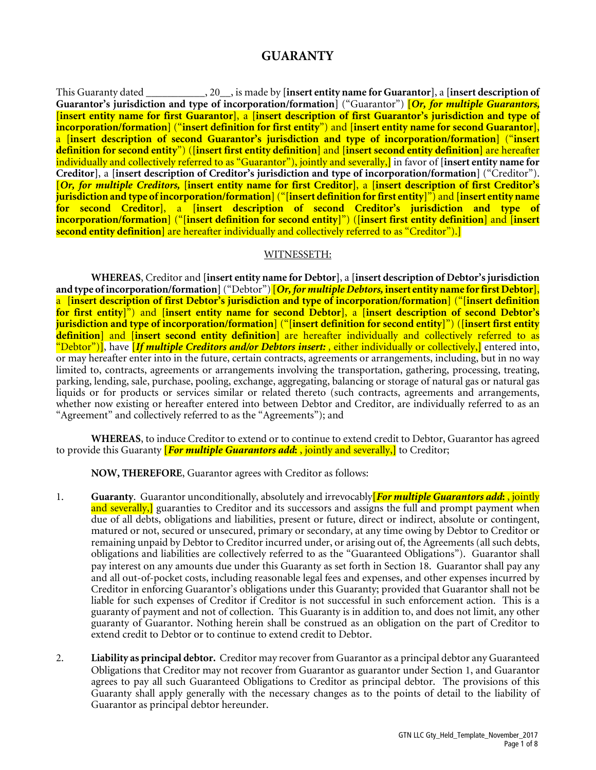# **GUARANTY**

This Guaranty dated \_\_\_\_\_\_\_\_\_\_\_, 20\_\_, is made by **[insert entity name for Guarantor]**, a **[insert description of Guarantor's jurisdiction and type of incorporation/formation]** ("Guarantor") **[***Or, for multiple Guarantors,* **[insert entity name for first Guarantor]**, a **[insert description of first Guarantor's jurisdiction and type of incorporation/formation]** ("**insert definition for first entity**") and **[insert entity name for second Guarantor]**, a **[insert description of second Guarantor's jurisdiction and type of incorporation/formation]** ("**insert definition for second entity**") (**[insert first entity definition]** and **[insert second entity definition]** are hereafter individually and collectively referred to as "Guarantor"), jointly and severally,**]** in favor of **[insert entity name for Creditor]**, a **[insert description of Creditor's jurisdiction and type of incorporation/formation]** ("Creditor"). **[***Or, for multiple Creditors,* **[insert entity name for first Creditor]**, a **[insert description of first Creditor's jurisdiction and type of incorporation/formation]**("**[insert definition for first entity]**") and **[insert entity name for second Creditor]**, a **[insert description of second Creditor's jurisdiction and type of incorporation/formation]** ("**[insert definition for second entity]**") (**[insert first entity definition]** and **[insert second entity definition]** are hereafter individually and collectively referred to as "Creditor").**]**

### WITNESSETH:

**WHEREAS**, Creditor and **[insert entity name for Debtor]**, a **[insert description of Debtor'sjurisdiction and type of incorporation/formation]**("Debtor")**[***Or, for multiple Debtors,* **insert entity name for first Debtor]**, a **[insert description of first Debtor's jurisdiction and type of incorporation/formation]** ("**[insert definition for first entity]**") and **[insert entity name for second Debtor]**, a **[insert description of second Debtor's jurisdiction and type of incorporation/formation]** ("**[insert definition for second entity]**") (**[insert first entity definition]** and **[insert second entity definition]** are hereafter individually and collectively referred to as "Debtor")**]**, have **[***If multiple Creditors and/or Debtors insert: ,* either individually or collectively,**]** entered into, or may hereafter enter into in the future, certain contracts, agreements or arrangements, including, but in no way limited to, contracts, agreements or arrangements involving the transportation, gathering, processing, treating, parking, lending, sale, purchase, pooling, exchange, aggregating, balancing or storage of natural gas or natural gas liquids or for products or services similar or related thereto (such contracts, agreements and arrangements, whether now existing or hereafter entered into between Debtor and Creditor, are individually referred to as an "Agreement" and collectively referred to as the "Agreements"); and

**WHEREAS**, to induce Creditor to extend or to continue to extend credit to Debtor, Guarantor has agreed to provide this Guaranty **[***For multiple Guarantors add***:** , jointly and severally,**]** to Creditor;

**NOW, THEREFORE**, Guarantor agrees with Creditor as follows:

- 1. **Guaranty**. Guarantor unconditionally, absolutely and irrevocably**[***For multiple Guarantors add***:** , jointly and severally,] guaranties to Creditor and its successors and assigns the full and prompt payment when due of all debts, obligations and liabilities, present or future, direct or indirect, absolute or contingent, matured or not, secured or unsecured, primary or secondary, at any time owing by Debtor to Creditor or remaining unpaid by Debtor to Creditor incurred under, or arising out of, the Agreements (all such debts, obligations and liabilities are collectively referred to as the "Guaranteed Obligations"). Guarantor shall pay interest on any amounts due under this Guaranty as set forth in Section 18. Guarantor shall pay any and all out-of-pocket costs, including reasonable legal fees and expenses, and other expenses incurred by Creditor in enforcing Guarantor's obligations under this Guaranty; provided that Guarantor shall not be liable for such expenses of Creditor if Creditor is not successful in such enforcement action. This is a guaranty of payment and not of collection. This Guaranty is in addition to, and does not limit, any other guaranty of Guarantor. Nothing herein shall be construed as an obligation on the part of Creditor to extend credit to Debtor or to continue to extend credit to Debtor.
- 2. **Liability as principal debtor.** Creditor may recover from Guarantor as a principal debtor any Guaranteed Obligations that Creditor may not recover from Guarantor as guarantor under Section 1, and Guarantor agrees to pay all such Guaranteed Obligations to Creditor as principal debtor. The provisions of this Guaranty shall apply generally with the necessary changes as to the points of detail to the liability of Guarantor as principal debtor hereunder.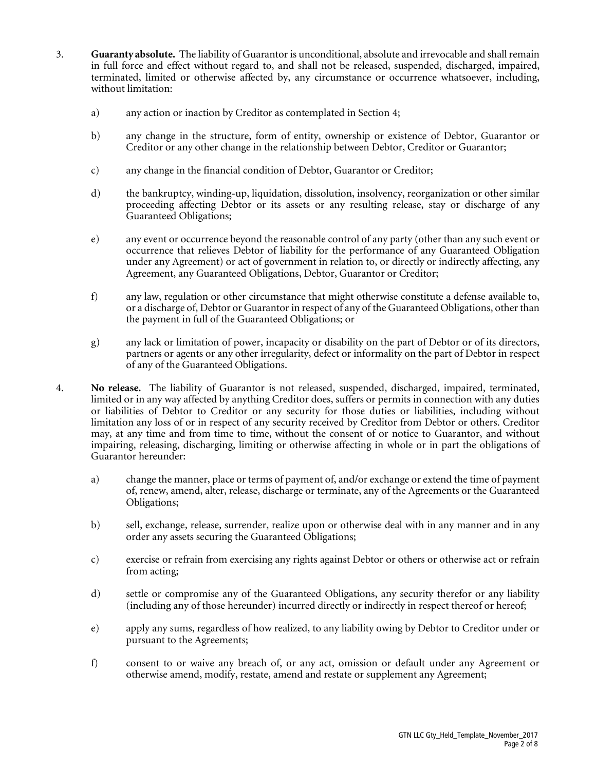- 3. **Guaranty absolute.** The liability of Guarantor is unconditional, absolute and irrevocable and shall remain in full force and effect without regard to, and shall not be released, suspended, discharged, impaired, terminated, limited or otherwise affected by, any circumstance or occurrence whatsoever, including, without limitation:
	- a) any action or inaction by Creditor as contemplated in Section 4;
	- b) any change in the structure, form of entity, ownership or existence of Debtor, Guarantor or Creditor or any other change in the relationship between Debtor, Creditor or Guarantor;
	- c) any change in the financial condition of Debtor, Guarantor or Creditor;
	- d) the bankruptcy, winding-up, liquidation, dissolution, insolvency, reorganization or other similar proceeding affecting Debtor or its assets or any resulting release, stay or discharge of any Guaranteed Obligations;
	- e) any event or occurrence beyond the reasonable control of any party (other than any such event or occurrence that relieves Debtor of liability for the performance of any Guaranteed Obligation under any Agreement) or act of government in relation to, or directly or indirectly affecting, any Agreement, any Guaranteed Obligations, Debtor, Guarantor or Creditor;
	- f) any law, regulation or other circumstance that might otherwise constitute a defense available to, or a discharge of, Debtor or Guarantor in respect of any of the Guaranteed Obligations, other than the payment in full of the Guaranteed Obligations; or
	- g) any lack or limitation of power, incapacity or disability on the part of Debtor or of its directors, partners or agents or any other irregularity, defect or informality on the part of Debtor in respect of any of the Guaranteed Obligations.
- 4. **No release.** The liability of Guarantor is not released, suspended, discharged, impaired, terminated, limited or in any way affected by anything Creditor does, suffers or permits in connection with any duties or liabilities of Debtor to Creditor or any security for those duties or liabilities, including without limitation any loss of or in respect of any security received by Creditor from Debtor or others. Creditor may, at any time and from time to time, without the consent of or notice to Guarantor, and without impairing, releasing, discharging, limiting or otherwise affecting in whole or in part the obligations of Guarantor hereunder:
	- a) change the manner, place or terms of payment of, and/or exchange or extend the time of payment of, renew, amend, alter, release, discharge or terminate, any of the Agreements or the Guaranteed Obligations;
	- b) sell, exchange, release, surrender, realize upon or otherwise deal with in any manner and in any order any assets securing the Guaranteed Obligations;
	- c) exercise or refrain from exercising any rights against Debtor or others or otherwise act or refrain from acting;
	- d) settle or compromise any of the Guaranteed Obligations, any security therefor or any liability (including any of those hereunder) incurred directly or indirectly in respect thereof or hereof;
	- e) apply any sums, regardless of how realized, to any liability owing by Debtor to Creditor under or pursuant to the Agreements;
	- f) consent to or waive any breach of, or any act, omission or default under any Agreement or otherwise amend, modify, restate, amend and restate or supplement any Agreement;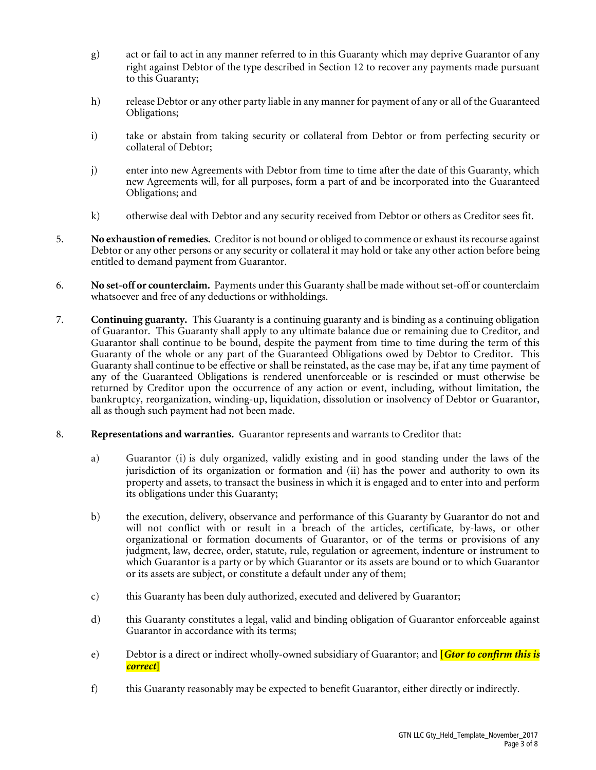- g) act or fail to act in any manner referred to in this Guaranty which may deprive Guarantor of any right against Debtor of the type described in Section 12 to recover any payments made pursuant to this Guaranty;
- h) release Debtor or any other party liable in any manner for payment of any or all of the Guaranteed Obligations;
- i) take or abstain from taking security or collateral from Debtor or from perfecting security or collateral of Debtor;
- j) enter into new Agreements with Debtor from time to time after the date of this Guaranty, which new Agreements will, for all purposes, form a part of and be incorporated into the Guaranteed Obligations; and
- k) otherwise deal with Debtor and any security received from Debtor or others as Creditor sees fit.
- 5. **No exhaustion of remedies.** Creditor is not bound or obliged to commence or exhaust its recourse against Debtor or any other persons or any security or collateral it may hold or take any other action before being entitled to demand payment from Guarantor.
- 6. **No set-off or counterclaim.** Payments under this Guaranty shall be made without set-off or counterclaim whatsoever and free of any deductions or withholdings.
- 7. **Continuing guaranty.** This Guaranty is a continuing guaranty and is binding as a continuing obligation of Guarantor. This Guaranty shall apply to any ultimate balance due or remaining due to Creditor, and Guarantor shall continue to be bound, despite the payment from time to time during the term of this Guaranty of the whole or any part of the Guaranteed Obligations owed by Debtor to Creditor. This Guaranty shall continue to be effective or shall be reinstated, as the case may be, if at any time payment of any of the Guaranteed Obligations is rendered unenforceable or is rescinded or must otherwise be returned by Creditor upon the occurrence of any action or event, including, without limitation, the bankruptcy, reorganization, winding-up, liquidation, dissolution or insolvency of Debtor or Guarantor, all as though such payment had not been made.
- 8. **Representations and warranties.** Guarantor represents and warrants to Creditor that:
	- a) Guarantor (i) is duly organized, validly existing and in good standing under the laws of the jurisdiction of its organization or formation and (ii) has the power and authority to own its property and assets, to transact the business in which it is engaged and to enter into and perform its obligations under this Guaranty;
	- b) the execution, delivery, observance and performance of this Guaranty by Guarantor do not and will not conflict with or result in a breach of the articles, certificate, by-laws, or other organizational or formation documents of Guarantor, or of the terms or provisions of any judgment, law, decree, order, statute, rule, regulation or agreement, indenture or instrument to which Guarantor is a party or by which Guarantor or its assets are bound or to which Guarantor or its assets are subject, or constitute a default under any of them;
	- c) this Guaranty has been duly authorized, executed and delivered by Guarantor;
	- d) this Guaranty constitutes a legal, valid and binding obligation of Guarantor enforceable against Guarantor in accordance with its terms;
	- e) Debtor is a direct or indirect wholly-owned subsidiary of Guarantor; and **[***Gtor to confirm this is correct***]**
	- f) this Guaranty reasonably may be expected to benefit Guarantor, either directly or indirectly.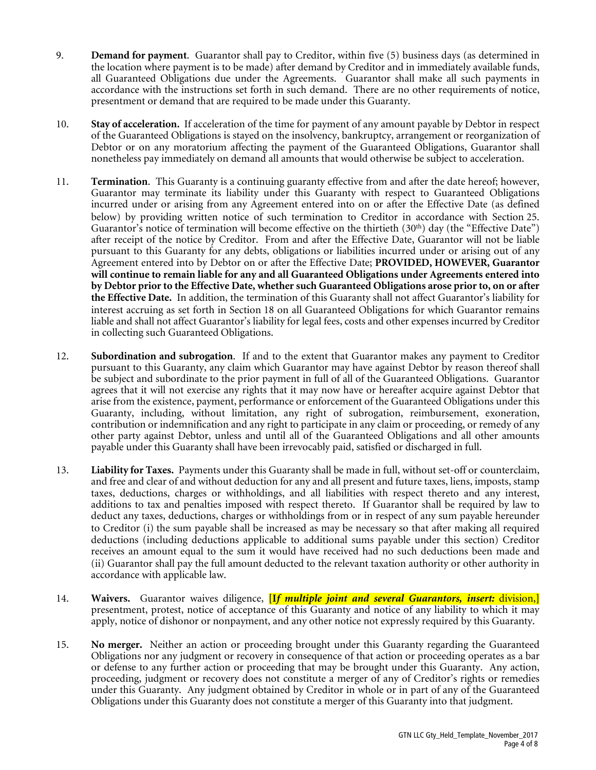- 9. **Demand for payment**. Guarantor shall pay to Creditor, within five (5) business days (as determined in the location where payment is to be made) after demand by Creditor and in immediately available funds, all Guaranteed Obligations due under the Agreements. Guarantor shall make all such payments in accordance with the instructions set forth in such demand. There are no other requirements of notice, presentment or demand that are required to be made under this Guaranty.
- 10. **Stay of acceleration.** If acceleration of the time for payment of any amount payable by Debtor in respect of the Guaranteed Obligations is stayed on the insolvency, bankruptcy, arrangement or reorganization of Debtor or on any moratorium affecting the payment of the Guaranteed Obligations, Guarantor shall nonetheless pay immediately on demand all amounts that would otherwise be subject to acceleration.
- 11. **Termination**. This Guaranty is a continuing guaranty effective from and after the date hereof; however, Guarantor may terminate its liability under this Guaranty with respect to Guaranteed Obligations incurred under or arising from any Agreement entered into on or after the Effective Date (as defined below) by providing written notice of such termination to Creditor in accordance with Section 25. Guarantor's notice of termination will become effective on the thirtieth  $(30<sup>th</sup>)$  day (the "Effective Date") after receipt of the notice by Creditor. From and after the Effective Date, Guarantor will not be liable pursuant to this Guaranty for any debts, obligations or liabilities incurred under or arising out of any Agreement entered into by Debtor on or after the Effective Date; **PROVIDED, HOWEVER, Guarantor will continue to remain liable for any and all Guaranteed Obligations under Agreements entered into by Debtor prior to the Effective Date, whether such Guaranteed Obligations arose prior to, on or after the Effective Date.** In addition, the termination of this Guaranty shall not affect Guarantor's liability for interest accruing as set forth in Section 18 on all Guaranteed Obligations for which Guarantor remains liable and shall not affect Guarantor's liability for legal fees, costs and other expenses incurred by Creditor in collecting such Guaranteed Obligations.
- 12. **Subordination and subrogation**. If and to the extent that Guarantor makes any payment to Creditor pursuant to this Guaranty, any claim which Guarantor may have against Debtor by reason thereof shall be subject and subordinate to the prior payment in full of all of the Guaranteed Obligations. Guarantor agrees that it will not exercise any rights that it may now have or hereafter acquire against Debtor that arise from the existence, payment, performance or enforcement of the Guaranteed Obligations under this Guaranty, including, without limitation, any right of subrogation, reimbursement, exoneration, contribution or indemnification and any right to participate in any claim or proceeding, or remedy of any other party against Debtor, unless and until all of the Guaranteed Obligations and all other amounts payable under this Guaranty shall have been irrevocably paid, satisfied or discharged in full.
- 13. **Liability for Taxes.** Payments under this Guaranty shall be made in full, without set-off or counterclaim, and free and clear of and without deduction for any and all present and future taxes, liens, imposts, stamp taxes, deductions, charges or withholdings, and all liabilities with respect thereto and any interest, additions to tax and penalties imposed with respect thereto. If Guarantor shall be required by law to deduct any taxes, deductions, charges or withholdings from or in respect of any sum payable hereunder to Creditor (i) the sum payable shall be increased as may be necessary so that after making all required deductions (including deductions applicable to additional sums payable under this section) Creditor receives an amount equal to the sum it would have received had no such deductions been made and (ii) Guarantor shall pay the full amount deducted to the relevant taxation authority or other authority in accordance with applicable law.
- 14. **Waivers.** Guarantor waives diligence, **[I***f multiple joint and several Guarantors, insert:* division,**]** presentment, protest, notice of acceptance of this Guaranty and notice of any liability to which it may apply, notice of dishonor or nonpayment, and any other notice not expressly required by this Guaranty.
- 15. **No merger.** Neither an action or proceeding brought under this Guaranty regarding the Guaranteed Obligations nor any judgment or recovery in consequence of that action or proceeding operates as a bar or defense to any further action or proceeding that may be brought under this Guaranty. Any action, proceeding, judgment or recovery does not constitute a merger of any of Creditor's rights or remedies under this Guaranty. Any judgment obtained by Creditor in whole or in part of any of the Guaranteed Obligations under this Guaranty does not constitute a merger of this Guaranty into that judgment.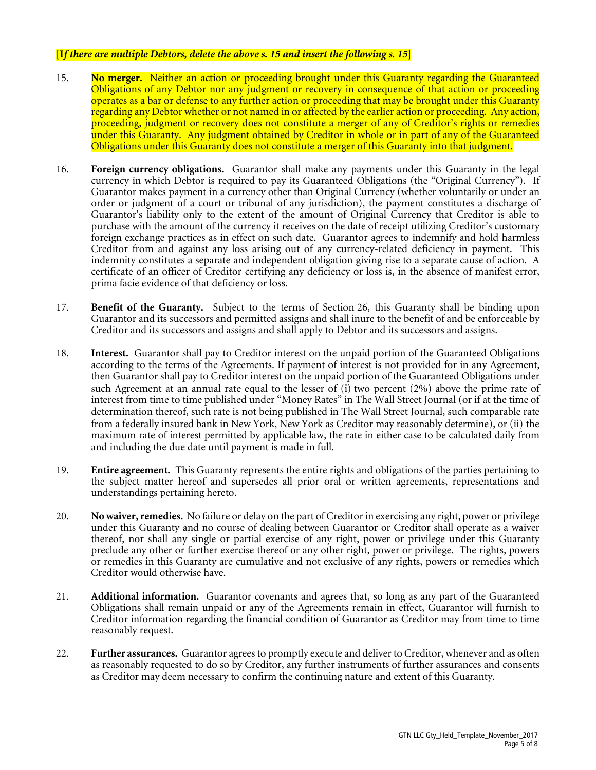### **[I***f there are multiple Debtors, delete the above s. 15 and insert the following s. 15***]**

- 15. **No merger.** Neither an action or proceeding brought under this Guaranty regarding the Guaranteed Obligations of any Debtor nor any judgment or recovery in consequence of that action or proceeding operates as a bar or defense to any further action or proceeding that may be brought under this Guaranty regarding any Debtor whether or not named in or affected by the earlier action or proceeding. Any action, proceeding, judgment or recovery does not constitute a merger of any of Creditor's rights or remedies under this Guaranty. Any judgment obtained by Creditor in whole or in part of any of the Guaranteed Obligations under this Guaranty does not constitute a merger of this Guaranty into that judgment.
- 16. **Foreign currency obligations.** Guarantor shall make any payments under this Guaranty in the legal currency in which Debtor is required to pay its Guaranteed Obligations (the "Original Currency"). If Guarantor makes payment in a currency other than Original Currency (whether voluntarily or under an order or judgment of a court or tribunal of any jurisdiction), the payment constitutes a discharge of Guarantor's liability only to the extent of the amount of Original Currency that Creditor is able to purchase with the amount of the currency it receives on the date of receipt utilizing Creditor's customary foreign exchange practices as in effect on such date. Guarantor agrees to indemnify and hold harmless Creditor from and against any loss arising out of any currency-related deficiency in payment. This indemnity constitutes a separate and independent obligation giving rise to a separate cause of action. A certificate of an officer of Creditor certifying any deficiency or loss is, in the absence of manifest error, prima facie evidence of that deficiency or loss.
- 17. **Benefit of the Guaranty.** Subject to the terms of Section 26, this Guaranty shall be binding upon Guarantor and its successors and permitted assigns and shall inure to the benefit of and be enforceable by Creditor and its successors and assigns and shall apply to Debtor and its successors and assigns.
- 18. **Interest.** Guarantor shall pay to Creditor interest on the unpaid portion of the Guaranteed Obligations according to the terms of the Agreements. If payment of interest is not provided for in any Agreement, then Guarantor shall pay to Creditor interest on the unpaid portion of the Guaranteed Obligations under such Agreement at an annual rate equal to the lesser of (i) two percent (2%) above the prime rate of interest from time to time published under "Money Rates" in The Wall Street Journal (or if at the time of determination thereof, such rate is not being published in The Wall Street Journal, such comparable rate from a federally insured bank in New York, New York as Creditor may reasonably determine), or (ii) the maximum rate of interest permitted by applicable law, the rate in either case to be calculated daily from and including the due date until payment is made in full.
- 19. **Entire agreement.** This Guaranty represents the entire rights and obligations of the parties pertaining to the subject matter hereof and supersedes all prior oral or written agreements, representations and understandings pertaining hereto.
- 20. **No waiver,remedies.** No failure or delay on the part of Creditor in exercising any right, power or privilege under this Guaranty and no course of dealing between Guarantor or Creditor shall operate as a waiver thereof, nor shall any single or partial exercise of any right, power or privilege under this Guaranty preclude any other or further exercise thereof or any other right, power or privilege. The rights, powers or remedies in this Guaranty are cumulative and not exclusive of any rights, powers or remedies which Creditor would otherwise have.
- 21. **Additional information.** Guarantor covenants and agrees that, so long as any part of the Guaranteed Obligations shall remain unpaid or any of the Agreements remain in effect, Guarantor will furnish to Creditor information regarding the financial condition of Guarantor as Creditor may from time to time reasonably request.
- 22. **Further assurances.** Guarantor agrees to promptly execute and deliver to Creditor, whenever and as often as reasonably requested to do so by Creditor, any further instruments of further assurances and consents as Creditor may deem necessary to confirm the continuing nature and extent of this Guaranty.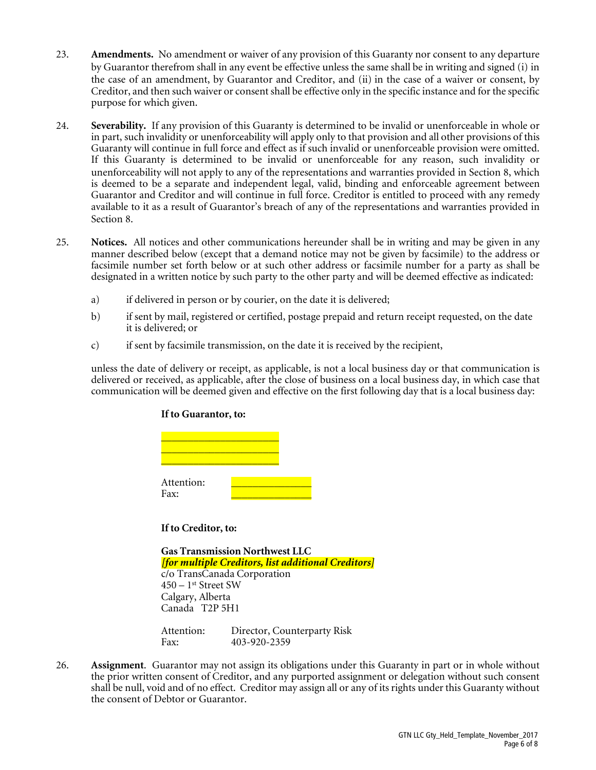- 23. **Amendments.** No amendment or waiver of any provision of this Guaranty nor consent to any departure by Guarantor therefrom shall in any event be effective unless the same shall be in writing and signed (i) in the case of an amendment, by Guarantor and Creditor, and (ii) in the case of a waiver or consent, by Creditor, and then such waiver or consent shall be effective only in the specific instance and for the specific purpose for which given.
- 24. **Severability.** If any provision of this Guaranty is determined to be invalid or unenforceable in whole or in part, such invalidity or unenforceability will apply only to that provision and all other provisions of this Guaranty will continue in full force and effect as if such invalid or unenforceable provision were omitted. If this Guaranty is determined to be invalid or unenforceable for any reason, such invalidity or unenforceability will not apply to any of the representations and warranties provided in Section 8, which is deemed to be a separate and independent legal, valid, binding and enforceable agreement between Guarantor and Creditor and will continue in full force. Creditor is entitled to proceed with any remedy available to it as a result of Guarantor's breach of any of the representations and warranties provided in Section 8.
- 25. **Notices.** All notices and other communications hereunder shall be in writing and may be given in any manner described below (except that a demand notice may not be given by facsimile) to the address or facsimile number set forth below or at such other address or facsimile number for a party as shall be designated in a written notice by such party to the other party and will be deemed effective as indicated:
	- a) if delivered in person or by courier, on the date it is delivered;
	- b) if sent by mail, registered or certified, postage prepaid and return receipt requested, on the date it is delivered; or
	- c) if sent by facsimile transmission, on the date it is received by the recipient,

unless the date of delivery or receipt, as applicable, is not a local business day or that communication is delivered or received, as applicable, after the close of business on a local business day, in which case that communication will be deemed given and effective on the first following day that is a local business day:

## **If to Guarantor, to:**

| Attention:<br>Fax: |  |  |
|--------------------|--|--|

**If to Creditor, to:**

| <b>Gas Transmission Northwest LLC</b>               |
|-----------------------------------------------------|
| [for multiple Creditors, list additional Creditors] |
| c/o TransCanada Corporation                         |
| $450-1$ <sup>st</sup> Street SW                     |
| Calgary, Alberta                                    |
| Canada T2P 5H1                                      |
|                                                     |

| Attention: | Director, Counterparty Risk |
|------------|-----------------------------|
| Fax:       | 403-920-2359                |

26. **Assignment**. Guarantor may not assign its obligations under this Guaranty in part or in whole without the prior written consent of Creditor, and any purported assignment or delegation without such consent shall be null, void and of no effect. Creditor may assign all or any of its rights under this Guaranty without the consent of Debtor or Guarantor.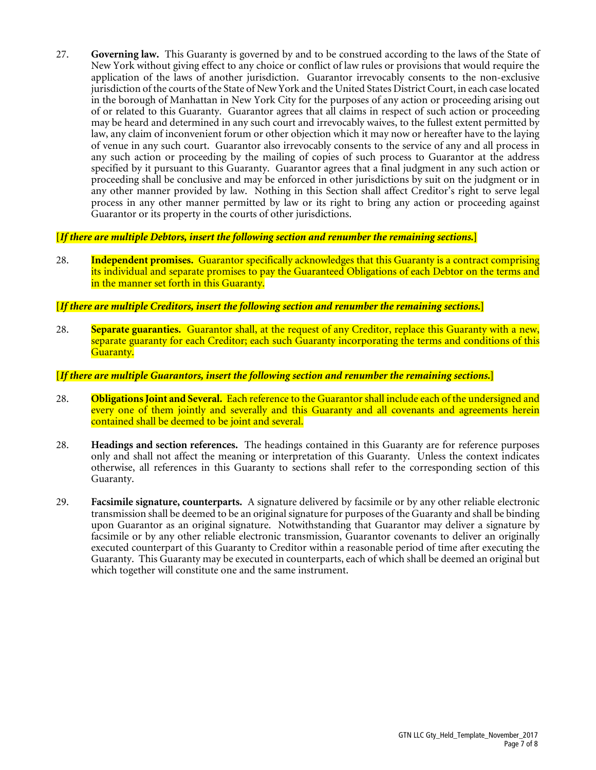27. **Governing law.** This Guaranty is governed by and to be construed according to the laws of the State of New York without giving effect to any choice or conflict of law rules or provisions that would require the application of the laws of another jurisdiction. Guarantor irrevocably consents to the non-exclusive jurisdiction of the courts of the State of New York and the United States District Court, in each case located in the borough of Manhattan in New York City for the purposes of any action or proceeding arising out of or related to this Guaranty. Guarantor agrees that all claims in respect of such action or proceeding may be heard and determined in any such court and irrevocably waives, to the fullest extent permitted by law, any claim of inconvenient forum or other objection which it may now or hereafter have to the laying of venue in any such court. Guarantor also irrevocably consents to the service of any and all process in any such action or proceeding by the mailing of copies of such process to Guarantor at the address specified by it pursuant to this Guaranty. Guarantor agrees that a final judgment in any such action or proceeding shall be conclusive and may be enforced in other jurisdictions by suit on the judgment or in any other manner provided by law. Nothing in this Section shall affect Creditor's right to serve legal process in any other manner permitted by law or its right to bring any action or proceeding against Guarantor or its property in the courts of other jurisdictions.

### **[***If there are multiple Debtors, insert the following section and renumber the remaining sections.***]**

28. **Independent promises.** Guarantor specifically acknowledges that this Guaranty is a contract comprising its individual and separate promises to pay the Guaranteed Obligations of each Debtor on the terms and in the manner set forth in this Guaranty.

## **[***If there are multiple Creditors, insert the following section and renumber the remaining sections.***]**

28. **Separate guaranties.** Guarantor shall, at the request of any Creditor, replace this Guaranty with a new, separate guaranty for each Creditor; each such Guaranty incorporating the terms and conditions of this Guaranty.

### **[***If there are multiple Guarantors, insert the following section and renumber the remaining sections.***]**

- 28. **Obligations Joint and Several.** Each reference to the Guarantor shall include each of the undersigned and every one of them jointly and severally and this Guaranty and all covenants and agreements herein contained shall be deemed to be joint and several.
- 28. **Headings and section references.** The headings contained in this Guaranty are for reference purposes only and shall not affect the meaning or interpretation of this Guaranty. Unless the context indicates otherwise, all references in this Guaranty to sections shall refer to the corresponding section of this Guaranty.
- 29. **Facsimile signature, counterparts.** A signature delivered by facsimile or by any other reliable electronic transmission shall be deemed to be an original signature for purposes of the Guaranty and shall be binding upon Guarantor as an original signature. Notwithstanding that Guarantor may deliver a signature by facsimile or by any other reliable electronic transmission, Guarantor covenants to deliver an originally executed counterpart of this Guaranty to Creditor within a reasonable period of time after executing the Guaranty. This Guaranty may be executed in counterparts, each of which shall be deemed an original but which together will constitute one and the same instrument.